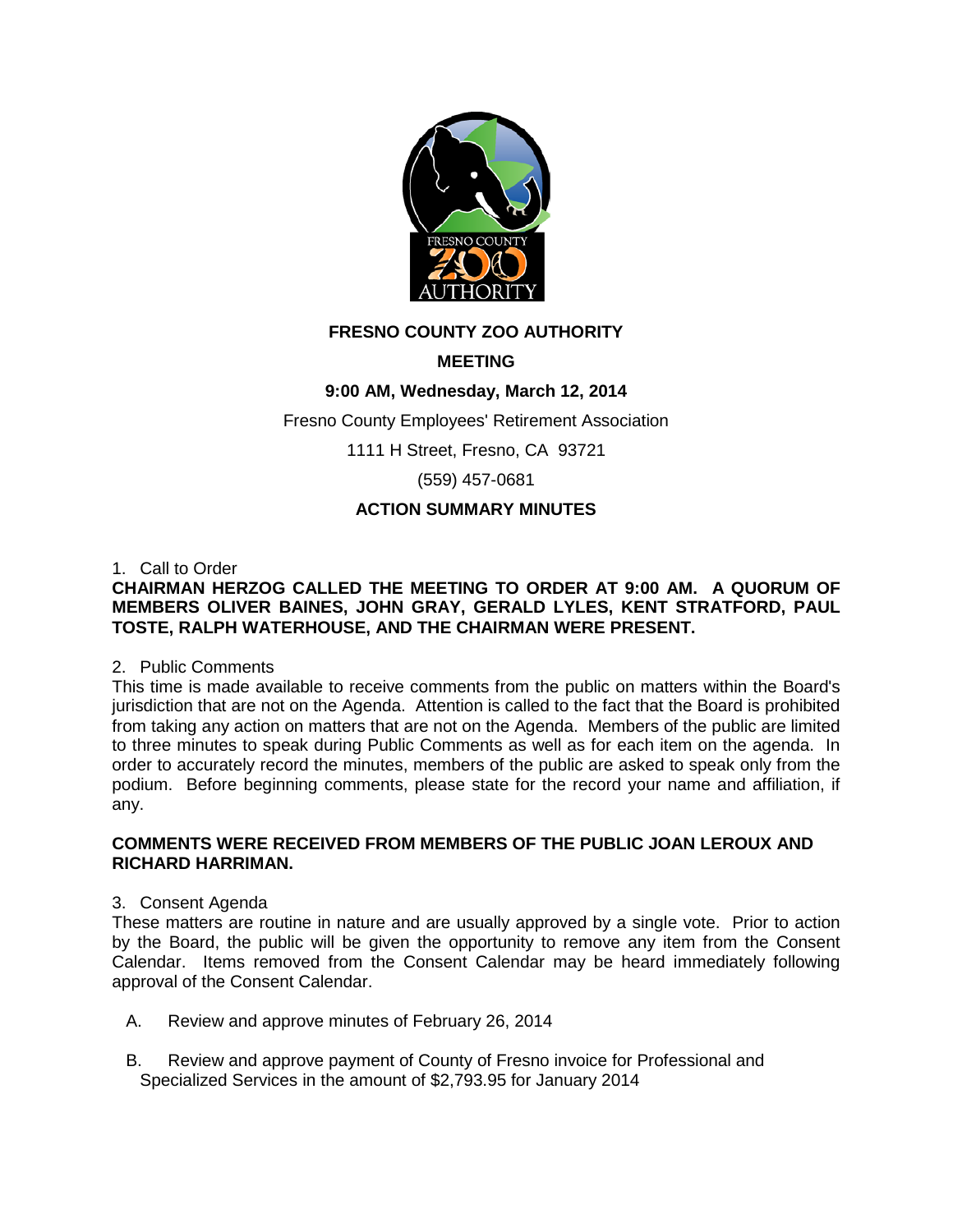

# **FRESNO COUNTY ZOO AUTHORITY**

# **MEETING**

# **9:00 AM, Wednesday, March 12, 2014**

Fresno County Employees' Retirement Association

1111 H Street, Fresno, CA 93721

(559) 457-0681

## **ACTION SUMMARY MINUTES**

#### 1. Call to Order

### **CHAIRMAN HERZOG CALLED THE MEETING TO ORDER AT 9:00 AM. A QUORUM OF MEMBERS OLIVER BAINES, JOHN GRAY, GERALD LYLES, KENT STRATFORD, PAUL TOSTE, RALPH WATERHOUSE, AND THE CHAIRMAN WERE PRESENT.**

### 2. Public Comments

This time is made available to receive comments from the public on matters within the Board's jurisdiction that are not on the Agenda. Attention is called to the fact that the Board is prohibited from taking any action on matters that are not on the Agenda. Members of the public are limited to three minutes to speak during Public Comments as well as for each item on the agenda. In order to accurately record the minutes, members of the public are asked to speak only from the podium. Before beginning comments, please state for the record your name and affiliation, if any.

#### **COMMENTS WERE RECEIVED FROM MEMBERS OF THE PUBLIC JOAN LEROUX AND RICHARD HARRIMAN.**

### 3. Consent Agenda

These matters are routine in nature and are usually approved by a single vote. Prior to action by the Board, the public will be given the opportunity to remove any item from the Consent Calendar. Items removed from the Consent Calendar may be heard immediately following approval of the Consent Calendar.

- A. Review and approve minutes of February 26, 2014
- B. Review and approve payment of County of Fresno invoice for Professional and Specialized Services in the amount of \$2,793.95 for January 2014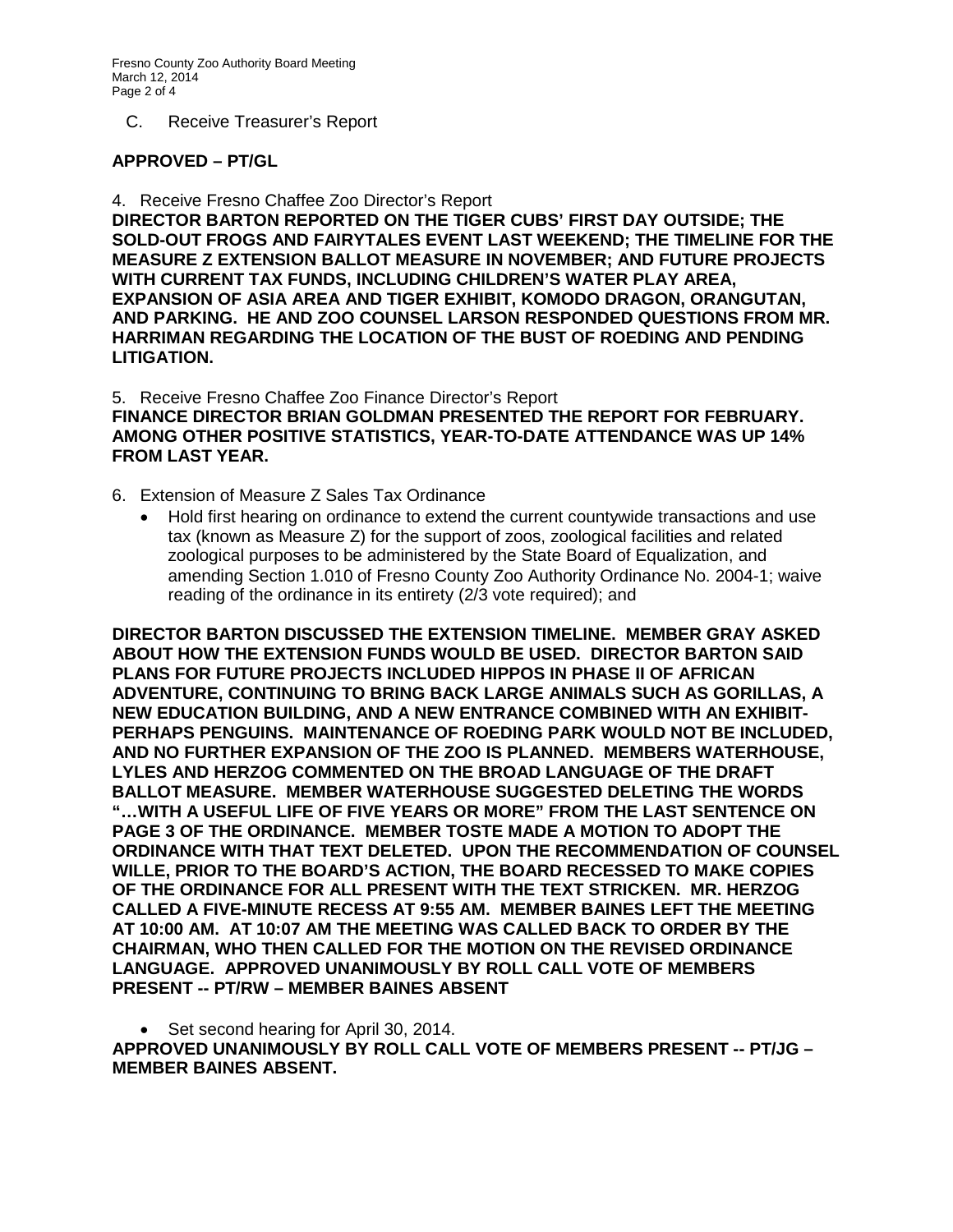C. Receive Treasurer's Report

#### **APPROVED – PT/GL**

4. Receive Fresno Chaffee Zoo Director's Report

**DIRECTOR BARTON REPORTED ON THE TIGER CUBS' FIRST DAY OUTSIDE; THE SOLD-OUT FROGS AND FAIRYTALES EVENT LAST WEEKEND; THE TIMELINE FOR THE MEASURE Z EXTENSION BALLOT MEASURE IN NOVEMBER; AND FUTURE PROJECTS WITH CURRENT TAX FUNDS, INCLUDING CHILDREN'S WATER PLAY AREA, EXPANSION OF ASIA AREA AND TIGER EXHIBIT, KOMODO DRAGON, ORANGUTAN, AND PARKING. HE AND ZOO COUNSEL LARSON RESPONDED QUESTIONS FROM MR. HARRIMAN REGARDING THE LOCATION OF THE BUST OF ROEDING AND PENDING LITIGATION.**

5. Receive Fresno Chaffee Zoo Finance Director's Report **FINANCE DIRECTOR BRIAN GOLDMAN PRESENTED THE REPORT FOR FEBRUARY. AMONG OTHER POSITIVE STATISTICS, YEAR-TO-DATE ATTENDANCE WAS UP 14% FROM LAST YEAR.**

- 6. Extension of Measure Z Sales Tax Ordinance
	- Hold first hearing on ordinance to extend the current countywide transactions and use tax (known as Measure Z) for the support of zoos, zoological facilities and related zoological purposes to be administered by the State Board of Equalization, and amending Section 1.010 of Fresno County Zoo Authority Ordinance No. 2004-1; waive reading of the ordinance in its entirety (2/3 vote required); and

**DIRECTOR BARTON DISCUSSED THE EXTENSION TIMELINE. MEMBER GRAY ASKED ABOUT HOW THE EXTENSION FUNDS WOULD BE USED. DIRECTOR BARTON SAID PLANS FOR FUTURE PROJECTS INCLUDED HIPPOS IN PHASE II OF AFRICAN ADVENTURE, CONTINUING TO BRING BACK LARGE ANIMALS SUCH AS GORILLAS, A NEW EDUCATION BUILDING, AND A NEW ENTRANCE COMBINED WITH AN EXHIBIT-PERHAPS PENGUINS. MAINTENANCE OF ROEDING PARK WOULD NOT BE INCLUDED, AND NO FURTHER EXPANSION OF THE ZOO IS PLANNED. MEMBERS WATERHOUSE, LYLES AND HERZOG COMMENTED ON THE BROAD LANGUAGE OF THE DRAFT BALLOT MEASURE. MEMBER WATERHOUSE SUGGESTED DELETING THE WORDS "…WITH A USEFUL LIFE OF FIVE YEARS OR MORE" FROM THE LAST SENTENCE ON PAGE 3 OF THE ORDINANCE. MEMBER TOSTE MADE A MOTION TO ADOPT THE ORDINANCE WITH THAT TEXT DELETED. UPON THE RECOMMENDATION OF COUNSEL WILLE, PRIOR TO THE BOARD'S ACTION, THE BOARD RECESSED TO MAKE COPIES OF THE ORDINANCE FOR ALL PRESENT WITH THE TEXT STRICKEN. MR. HERZOG CALLED A FIVE-MINUTE RECESS AT 9:55 AM. MEMBER BAINES LEFT THE MEETING AT 10:00 AM. AT 10:07 AM THE MEETING WAS CALLED BACK TO ORDER BY THE CHAIRMAN, WHO THEN CALLED FOR THE MOTION ON THE REVISED ORDINANCE LANGUAGE. APPROVED UNANIMOUSLY BY ROLL CALL VOTE OF MEMBERS PRESENT -- PT/RW – MEMBER BAINES ABSENT** 

• Set second hearing for April 30, 2014. **APPROVED UNANIMOUSLY BY ROLL CALL VOTE OF MEMBERS PRESENT -- PT/JG – MEMBER BAINES ABSENT.**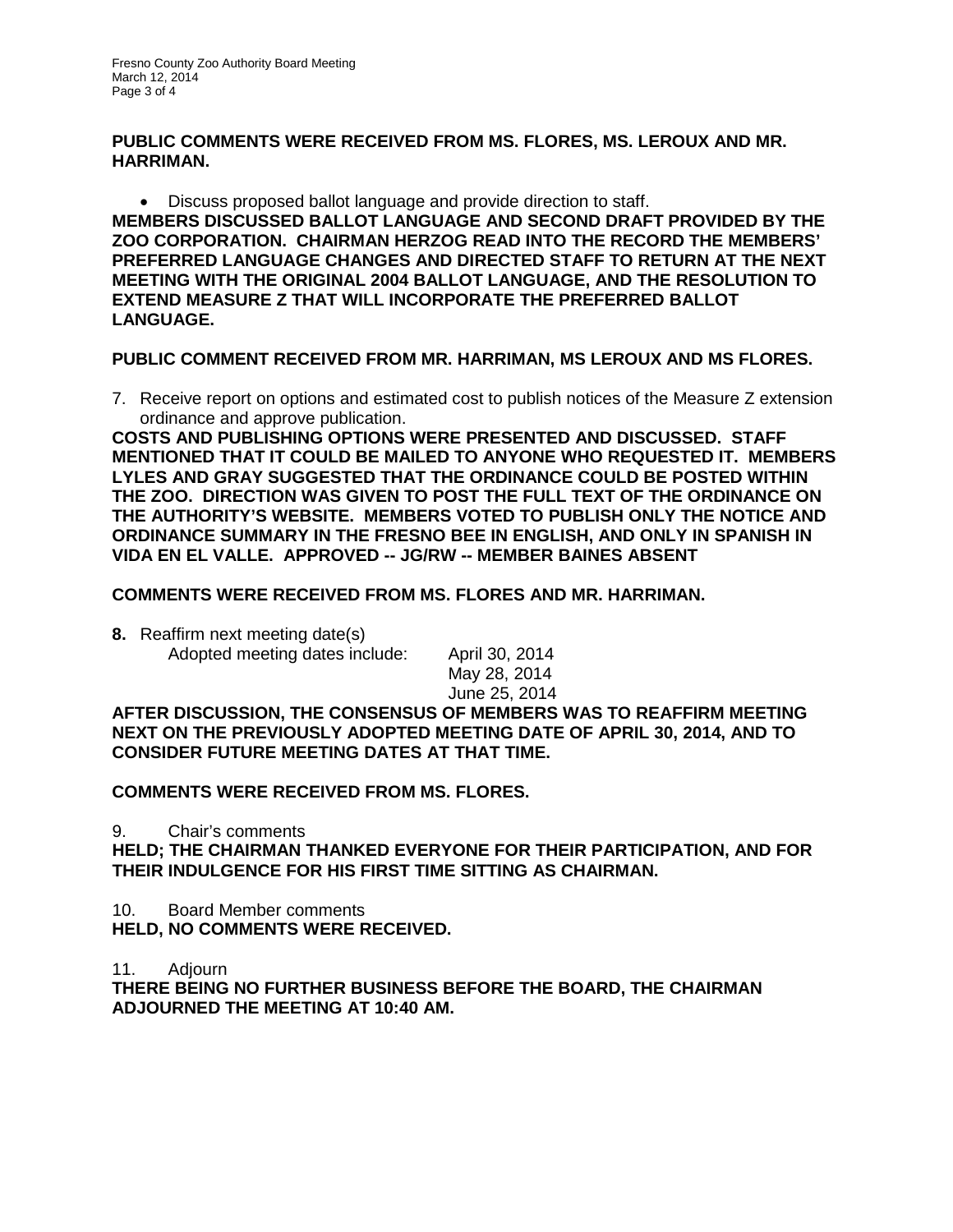**PUBLIC COMMENTS WERE RECEIVED FROM MS. FLORES, MS. LEROUX AND MR. HARRIMAN.** 

• Discuss proposed ballot language and provide direction to staff. **MEMBERS DISCUSSED BALLOT LANGUAGE AND SECOND DRAFT PROVIDED BY THE ZOO CORPORATION. CHAIRMAN HERZOG READ INTO THE RECORD THE MEMBERS' PREFERRED LANGUAGE CHANGES AND DIRECTED STAFF TO RETURN AT THE NEXT MEETING WITH THE ORIGINAL 2004 BALLOT LANGUAGE, AND THE RESOLUTION TO EXTEND MEASURE Z THAT WILL INCORPORATE THE PREFERRED BALLOT LANGUAGE.**

**PUBLIC COMMENT RECEIVED FROM MR. HARRIMAN, MS LEROUX AND MS FLORES.**

7. Receive report on options and estimated cost to publish notices of the Measure Z extension ordinance and approve publication.

**COSTS AND PUBLISHING OPTIONS WERE PRESENTED AND DISCUSSED. STAFF MENTIONED THAT IT COULD BE MAILED TO ANYONE WHO REQUESTED IT. MEMBERS LYLES AND GRAY SUGGESTED THAT THE ORDINANCE COULD BE POSTED WITHIN THE ZOO. DIRECTION WAS GIVEN TO POST THE FULL TEXT OF THE ORDINANCE ON THE AUTHORITY'S WEBSITE. MEMBERS VOTED TO PUBLISH ONLY THE NOTICE AND ORDINANCE SUMMARY IN THE FRESNO BEE IN ENGLISH, AND ONLY IN SPANISH IN VIDA EN EL VALLE. APPROVED -- JG/RW -- MEMBER BAINES ABSENT** 

### **COMMENTS WERE RECEIVED FROM MS. FLORES AND MR. HARRIMAN.**

**8.** Reaffirm next meeting date(s)

Adopted meeting dates include: April 30, 2014 May 28, 2014 June 25, 2014

**AFTER DISCUSSION, THE CONSENSUS OF MEMBERS WAS TO REAFFIRM MEETING NEXT ON THE PREVIOUSLY ADOPTED MEETING DATE OF APRIL 30, 2014, AND TO CONSIDER FUTURE MEETING DATES AT THAT TIME.**

**COMMENTS WERE RECEIVED FROM MS. FLORES.**

9. Chair's comments

**HELD; THE CHAIRMAN THANKED EVERYONE FOR THEIR PARTICIPATION, AND FOR THEIR INDULGENCE FOR HIS FIRST TIME SITTING AS CHAIRMAN.**

10. Board Member comments **HELD, NO COMMENTS WERE RECEIVED.**

11. Adjourn

**THERE BEING NO FURTHER BUSINESS BEFORE THE BOARD, THE CHAIRMAN ADJOURNED THE MEETING AT 10:40 AM.**